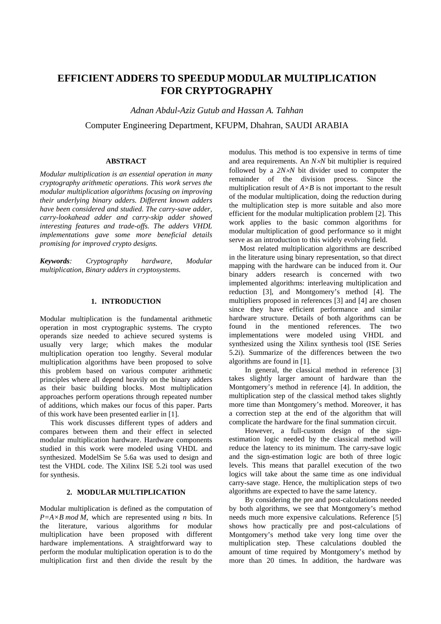# **EFFICIENT ADDERS TO SPEEDUP MODULAR MULTIPLICATION FOR CRYPTOGRAPHY**

*Adnan Abdul-Aziz Gutub and Hassan A. Tahhan*  Computer Engineering Department, KFUPM, Dhahran, SAUDI ARABIA

# **ABSTRACT**

*Modular multiplication is an essential operation in many cryptography arithmetic operations. This work serves the modular multiplication algorithms focusing on improving their underlying binary adders. Different known adders have been considered and studied. The carry-save adder, carry-lookahead adder and carry-skip adder showed interesting features and trade-offs. The adders VHDL implementations gave some more beneficial details promising for improved crypto designs.* 

*Keywords: Cryptography hardware, Modular multiplication, Binary adders in cryptosystems.* 

## **1. INTRODUCTION**

Modular multiplication is the fundamental arithmetic operation in most cryptographic systems. The crypto operands size needed to achieve secured systems is usually very large; which makes the modular multiplication operation too lengthy. Several modular multiplication algorithms have been proposed to solve this problem based on various computer arithmetic principles where all depend heavily on the binary adders as their basic building blocks. Most multiplication approaches perform operations through repeated number of additions, which makes our focus of this paper. Parts of this work have been presented earlier in [1].

 This work discusses different types of adders and compares between them and their effect in selected modular multiplication hardware. Hardware components studied in this work were modeled using VHDL and synthesized. ModelSim Se 5.6a was used to design and test the VHDL code. The Xilinx ISE 5.2i tool was used for synthesis.

# **2. MODULAR MULTIPLICATION**

Modular multiplication is defined as the computation of  $P=A\times B$  *mod M*, which are represented using *n* bits. In the literature, various algorithms for modular multiplication have been proposed with different hardware implementations. A straightforward way to perform the modular multiplication operation is to do the multiplication first and then divide the result by the

modulus. This method is too expensive in terms of time and area requirements. An *N*×*N* bit multiplier is required followed by a *2N*×*N* bit divider used to computer the remainder of the division process. Since the multiplication result of  $A \times B$  is not important to the result of the modular multiplication, doing the reduction during the multiplication step is more suitable and also more efficient for the modular multiplication problem [2]. This work applies to the basic common algorithms for modular multiplication of good performance so it might serve as an introduction to this widely evolving field.

Most related multiplication algorithms are described in the literature using binary representation, so that direct mapping with the hardware can be induced from it. Our binary adders research is concerned with two implemented algorithms: interleaving multiplication and reduction [3], and Montgomery's method [4]. The multipliers proposed in references [3] and [4] are chosen since they have efficient performance and similar hardware structure. Details of both algorithms can be found in the mentioned references. The two implementations were modeled using VHDL and synthesized using the Xilinx synthesis tool (ISE Series 5.2i). Summarize of the differences between the two algorithms are found in [1].

In general, the classical method in reference [3] takes slightly larger amount of hardware than the Montgomery's method in reference [4]. In addition, the multiplication step of the classical method takes slightly more time than Montgomery's method. Moreover, it has a correction step at the end of the algorithm that will complicate the hardware for the final summation circuit.

However, a full-custom design of the signestimation logic needed by the classical method will reduce the latency to its minimum. The carry-save logic and the sign-estimation logic are both of three logic levels. This means that parallel execution of the two logics will take about the same time as one individual carry-save stage. Hence, the multiplication steps of two algorithms are expected to have the same latency.

By considering the pre and post-calculations needed by both algorithms, we see that Montgomery's method needs much more expensive calculations. Reference [5] shows how practically pre and post-calculations of Montgomery's method take very long time over the multiplication step. These calculations doubled the amount of time required by Montgomery's method by more than 20 times. In addition, the hardware was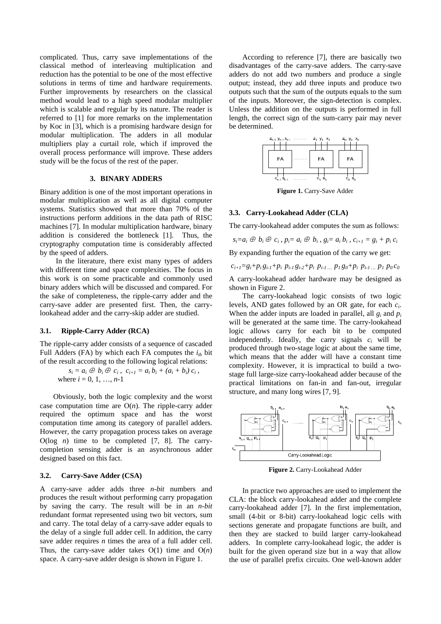complicated. Thus, carry save implementations of the classical method of interleaving multiplication and reduction has the potential to be one of the most effective solutions in terms of time and hardware requirements. Further improvements by researchers on the classical method would lead to a high speed modular multiplier which is scalable and regular by its nature. The reader is referred to [1] for more remarks on the implementation by Koc in [3], which is a promising hardware design for modular multiplication. The adders in all modular multipliers play a curtail role, which if improved the overall process performance will improve. These adders study will be the focus of the rest of the paper.

# **3. BINARY ADDERS**

Binary addition is one of the most important operations in modular multiplication as well as all digital computer systems. Statistics showed that more than 70% of the instructions perform additions in the data path of RISC machines [7]. In modular multiplication hardware, binary addition is considered the bottleneck [1]. Thus, the cryptography computation time is considerably affected by the speed of adders.

In the literature, there exist many types of adders with different time and space complexities. The focus in this work is on some practicable and commonly used binary adders which will be discussed and compared. For the sake of completeness, the ripple-carry adder and the carry-save adder are presented first. Then, the carrylookahead adder and the carry-skip adder are studied.

## **3.1. Ripple-Carry Adder (RCA)**

The ripple-carry adder consists of a sequence of cascaded Full Adders (FA) by which each FA computes the  $i_{th}$  bit of the result according to the following logical relations:

> $s_i = a_i \oplus b_i \oplus c_i$ ,  $c_{i+1} = a_i b_i + (a_i + b_i) c_i$ , where  $i = 0, 1, ..., n-1$

 Obviously, both the logic complexity and the worst case computation time are Ο(*n*). The ripple-carry adder required the optimum space and has the worst computation time among its category of parallel adders. However, the carry propagation process takes on average Ο(log *n*) time to be completed [7, 8]. The carrycompletion sensing adder is an asynchronous adder designed based on this fact.

#### **3.2. Carry-Save Adder (CSA)**

A carry-save adder adds three *n-bit* numbers and produces the result without performing carry propagation by saving the carry. The result will be in an *n-bit* redundant format represented using two bit vectors, sum and carry. The total delay of a carry-save adder equals to the delay of a single full adder cell. In addition, the carry save adder requires *n* times the area of a full adder cell. Thus, the carry-save adder takes Ο(1) time and Ο(*n*) space. A carry-save adder design is shown in Figure 1.

According to reference [7], there are basically two disadvantages of the carry-save adders. The carry-save adders do not add two numbers and produce a single output; instead, they add three inputs and produce two outputs such that the sum of the outputs equals to the sum of the inputs. Moreover, the sign-detection is complex. Unless the addition on the outputs is performed in full length, the correct sign of the sum-carry pair may never be determined.



**Figure 1.** Carry-Save Adder

#### **3.3. Carry-Lookahead Adder (CLA)**

The carry-lookahead adder computes the sum as follows:

$$
s_i = a_i \oplus b_i \oplus c_i
$$
,  $p_i = a_i \oplus b_i$ ,  $g_i = a_i b_i$ ,  $c_{i+1} = g_i + p_i c_i$ 

By expanding further the equation of the carry we get:

 $c_{i+1}=g_i+p_i\,g_{i-1}+p_i\,p_{i-1}\,g_{i-2}+p_i\,p_{i-1}\dots\,p_1\,g_0+p_i\,p_{i-1}\dots\,p_1\,p_0\,c_0$ 

A carry-lookahead adder hardware may be designed as shown in Figure 2.

 The carry-lookahead logic consists of two logic levels, AND gates followed by an OR gate, for each *ci*. When the adder inputs are loaded in parallel, all *gi* and *pi* will be generated at the same time. The carry-lookahead logic allows carry for each bit to be computed independently. Ideally, the carry signals  $c_i$  will be produced through two-stage logic at about the same time, which means that the adder will have a constant time complexity. However, it is impractical to build a twostage full large-size carry-lookahead adder because of the practical limitations on fan-in and fan-out, irregular structure, and many long wires [7, 9].



**Figure 2.** Carry-Lookahead Adder

 In practice two approaches are used to implement the CLA: the block carry-lookahead adder and the complete carry-lookahead adder [7]. In the first implementation, small (4-bit or 8-bit) carry-lookahead logic cells with sections generate and propagate functions are built, and then they are stacked to build larger carry-lookahead adders. In complete carry-lookahead logic, the adder is built for the given operand size but in a way that allow the use of parallel prefix circuits. One well-known adder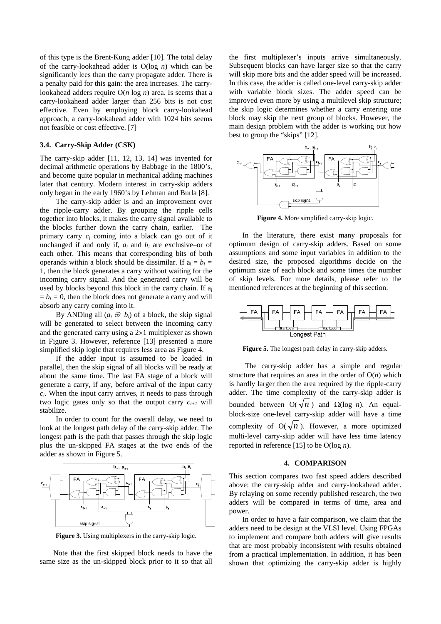of this type is the Brent-Kung adder [10]. The total delay of the carry-lookahead adder is Ο(log *n*) which can be significantly lees than the carry propagate adder. There is a penalty paid for this gain: the area increases. The carrylookahead adders require Ο(*n* log *n*) area. Is seems that a carry-lookahead adder larger than 256 bits is not cost effective. Even by employing block carry-lookahead approach, a carry-lookahead adder with 1024 bits seems not feasible or cost effective. [7]

## **3.4. Carry-Skip Adder (CSK)**

The carry-skip adder [11, 12, 13, 14] was invented for decimal arithmetic operations by Babbage in the 1800's, and become quite popular in mechanical adding machines later that century. Modern interest in carry-skip adders only began in the early 1960's by Lehman and Burla [8].

The carry-skip adder is and an improvement over the ripple-carry adder. By grouping the ripple cells together into blocks, it makes the carry signal available to the blocks further down the carry chain, earlier. The primary carry *ci* coming into a black can go out of it unchanged if and only if,  $a_i$  and  $b_i$  are exclusive–or of each other. This means that corresponding bits of both operands within a block should be dissimilar. If  $a_i = b_i =$ 1, then the block generates a carry without waiting for the incoming carry signal. And the generated carry will be used by blocks beyond this block in the carry chain. If  $a_i$  $= b_i = 0$ , then the block does not generate a carry and will absorb any carry coming into it.

By ANDing all  $(a_i \oplus b_i)$  of a block, the skip signal will be generated to select between the incoming carry and the generated carry using a  $2\times1$  multiplexer as shown in Figure 3. However, reference [13] presented a more simplified skip logic that requires less area as Figure 4.

If the adder input is assumed to be loaded in parallel, then the skip signal of all blocks will be ready at about the same time. The last FA stage of a block will generate a carry, if any, before arrival of the input carry *ci*. When the input carry arrives, it needs to pass through two logic gates only so that the output carry  $c_{i+1}$  will stabilize.

In order to count for the overall delay, we need to look at the longest path delay of the carry-skip adder. The longest path is the path that passes through the skip logic plus the un-skipped FA stages at the two ends of the adder as shown in Figure 5.



**Figure 3.** Using multiplexers in the carry-skip logic.

 Note that the first skipped block needs to have the same size as the un-skipped block prior to it so that all

the first multiplexer's inputs arrive simultaneously. Subsequent blocks can have larger size so that the carry will skip more bits and the adder speed will be increased. In this case, the adder is called one-level carry-skip adder with variable block sizes. The adder speed can be improved even more by using a multilevel skip structure; the skip logic determines whether a carry entering one block may skip the next group of blocks. However, the main design problem with the adder is working out how best to group the "skips" [12].



**Figure 4.** More simplified carry-skip logic.

 In the literature, there exist many proposals for optimum design of carry-skip adders. Based on some assumptions and some input variables in addition to the desired size, the proposed algorithms decide on the optimum size of each block and some times the number of skip levels. For more details, please refer to the mentioned references at the beginning of this section.



**Figure 5.** The longest path delay in carry-skip adders.

The carry-skip adder has a simple and regular structure that requires an area in the order of Ο(*n*) which is hardly larger then the area required by the ripple-carry adder. The time complexity of the carry-skip adder is bounded between  $O(\sqrt{n})$  and  $Ω(log n)$ . An equalblock-size one-level carry-skip adder will have a time complexity of  $O(\sqrt{n})$ . However, a more optimized multi-level carry-skip adder will have less time latency reported in reference [15] to be Ο(log *n*).

# **4. COMPARISON**

This section compares two fast speed adders described above: the carry-skip adder and carry-lookahead adder. By relaying on some recently published research, the two adders will be compared in terms of time, area and power.

 In order to have a fair comparison, we claim that the adders need to be design at the VLSI level. Using FPGAs to implement and compare both adders will give results that are most probably inconsistent with results obtained from a practical implementation. In addition, it has been shown that optimizing the carry-skip adder is highly